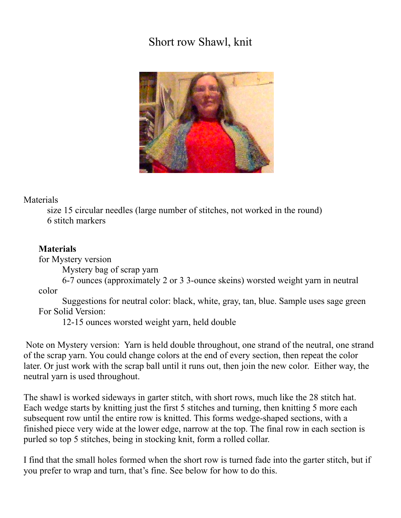## Short row Shawl, knit



## Materials

 size 15 circular needles (large number of stitches, not worked in the round) 6 stitch markers

## **Materials**

for Mystery version

Mystery bag of scrap yarn

 6-7 ounces (approximately 2 or 3 3-ounce skeins) worsted weight yarn in neutral color

 Suggestions for neutral color: black, white, gray, tan, blue. Sample uses sage green For Solid Version:

12-15 ounces worsted weight yarn, held double

 Note on Mystery version: Yarn is held double throughout, one strand of the neutral, one strand of the scrap yarn. You could change colors at the end of every section, then repeat the color later. Or just work with the scrap ball until it runs out, then join the new color. Either way, the neutral yarn is used throughout.

The shawl is worked sideways in garter stitch, with short rows, much like the 28 stitch hat. Each wedge starts by knitting just the first 5 stitches and turning, then knitting 5 more each subsequent row until the entire row is knitted. This forms wedge-shaped sections, with a finished piece very wide at the lower edge, narrow at the top. The final row in each section is purled so top 5 stitches, being in stocking knit, form a rolled collar.

I find that the small holes formed when the short row is turned fade into the garter stitch, but if you prefer to wrap and turn, that's fine. See below for how to do this.